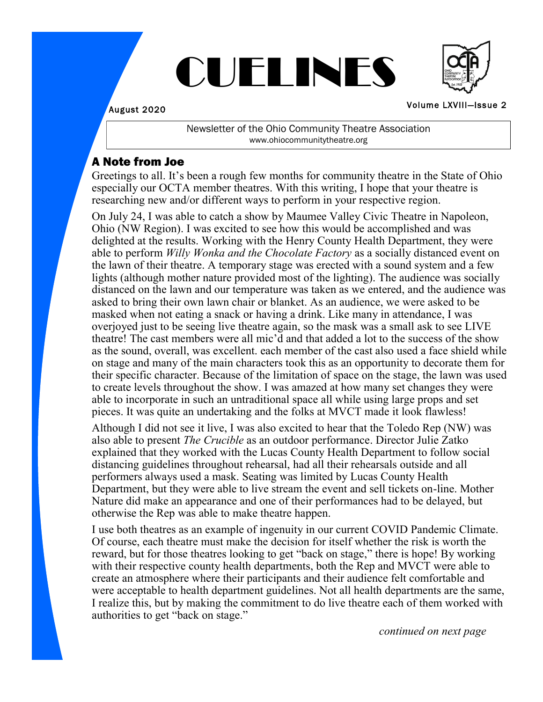# CUELINES



August 2020

Volume LXVIIl—Issue 2

Newsletter of the Ohio Community Theatre Association www.ohiocommunitytheatre.org

### A Note from Joe

Greetings to all. It's been a rough few months for community theatre in the State of Ohio especially our OCTA member theatres. With this writing, I hope that your theatre is researching new and/or different ways to perform in your respective region.

On July 24, I was able to catch a show by Maumee Valley Civic Theatre in Napoleon, Ohio (NW Region). I was excited to see how this would be accomplished and was delighted at the results. Working with the Henry County Health Department, they were able to perform *Willy Wonka and the Chocolate Factory* as a socially distanced event on the lawn of their theatre. A temporary stage was erected with a sound system and a few lights (although mother nature provided most of the lighting). The audience was socially distanced on the lawn and our temperature was taken as we entered, and the audience was asked to bring their own lawn chair or blanket. As an audience, we were asked to be masked when not eating a snack or having a drink. Like many in attendance, I was overjoyed just to be seeing live theatre again, so the mask was a small ask to see LIVE theatre! The cast members were all mic'd and that added a lot to the success of the show as the sound, overall, was excellent. each member of the cast also used a face shield while on stage and many of the main characters took this as an opportunity to decorate them for their specific character. Because of the limitation of space on the stage, the lawn was used to create levels throughout the show. I was amazed at how many set changes they were able to incorporate in such an untraditional space all while using large props and set pieces. It was quite an undertaking and the folks at MVCT made it look flawless!

Although I did not see it live, I was also excited to hear that the Toledo Rep (NW) was also able to present *The Crucible* as an outdoor performance. Director Julie Zatko explained that they worked with the Lucas County Health Department to follow social distancing guidelines throughout rehearsal, had all their rehearsals outside and all performers always used a mask. Seating was limited by Lucas County Health Department, but they were able to live stream the event and sell tickets on-line. Mother Nature did make an appearance and one of their performances had to be delayed, but otherwise the Rep was able to make theatre happen.

I use both theatres as an example of ingenuity in our current COVID Pandemic Climate. Of course, each theatre must make the decision for itself whether the risk is worth the reward, but for those theatres looking to get "back on stage," there is hope! By working with their respective county health departments, both the Rep and MVCT were able to create an atmosphere where their participants and their audience felt comfortable and were acceptable to health department guidelines. Not all health departments are the same, I realize this, but by making the commitment to do live theatre each of them worked with authorities to get "back on stage."

*continued on next page*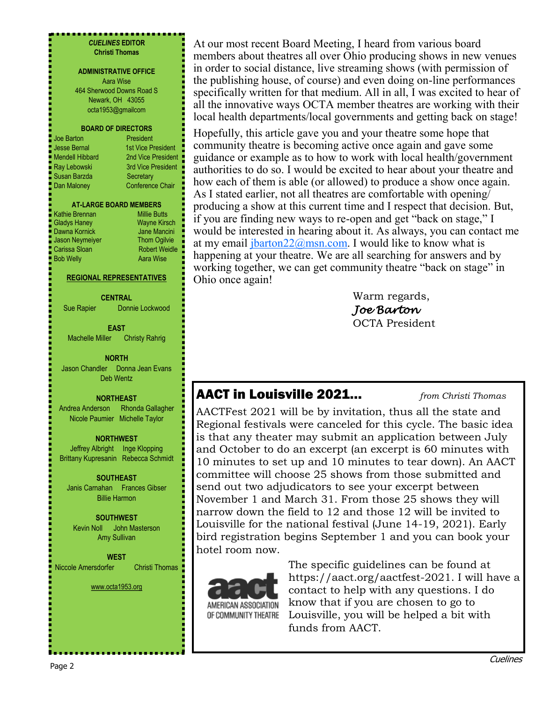#### ................ *CUELINES* **EDITOR Christi Thomas**

#### **ADMINISTRATIVE OFFICE** Aara Wise 464 Sherwood Downs Road S

Newark, OH 43055 octa1953@gmailcom

### **BOARD OF DIRECTORS**

resident President President

| <b>Joe Barton</b>      | President               |
|------------------------|-------------------------|
| <b>Jesse Bernal</b>    | 1st Vice President      |
| <b>Mendell Hibbard</b> | 2nd Vice President      |
| Ray Lebowski           | 3rd Vice President      |
| Susan Barzda           | Secretary               |
| Dan Maloney            | <b>Conference Chair</b> |
|                        |                         |

### **AT-LARGE BOARD MEMBERS**

| Kathie Brennan   | <b>Millie Butts</b>  |
|------------------|----------------------|
| Gladys Haney     | <b>Wayne Kirsch</b>  |
| Dawna Kornick    | Jane Mancini         |
| Jason Neymeiyer  | <b>Thom Ogilvie</b>  |
| Carissa Sloan    | <b>Robert Weidle</b> |
| <b>Bob Welly</b> | <b>Aara Wise</b>     |
|                  |                      |

### **REGIONAL REPRESENTATIVES**

#### **CENTRAL**

Sue Rapier Donnie Lockwood

**EAST**

Machelle Miller Christy Rahrig

### **NORTH**

Jason Chandler Donna Jean Evans Deb Wentz

### **NORTHEAST**

Andrea Anderson Rhonda Gallagher Nicole Paumier Michelle Taylor

### **NORTHWEST**

Jeffrey Albright Inge Klopping Brittany Kupresanin Rebecca Schmidt

**SOUTHEAST** Janis Carnahan Frances Gibser Billie Harmon

**SOUTHWEST** Kevin Noll John Masterson Amy Sullivan

**WEST** Niccole Amersdorfer Christi Thomas

www.octa1953.org

At our most recent Board Meeting, I heard from various board members about theatres all over Ohio producing shows in new venues in order to social distance, live streaming shows (with permission of the publishing house, of course) and even doing on-line performances specifically written for that medium. All in all, I was excited to hear of all the innovative ways OCTA member theatres are working with their local health departments/local governments and getting back on stage!

Hopefully, this article gave you and your theatre some hope that community theatre is becoming active once again and gave some guidance or example as to how to work with local health/government authorities to do so. I would be excited to hear about your theatre and how each of them is able (or allowed) to produce a show once again. As I stated earlier, not all theatres are comfortable with opening/ producing a show at this current time and I respect that decision. But, if you are finding new ways to re-open and get "back on stage," I would be interested in hearing about it. As always, you can contact me at my email  $\frac{\partial u}{\partial x}$  is a set of linear linear up to the set of know what is happening at your theatre. We are all searching for answers and by working together, we can get community theatre "back on stage" in Ohio once again!

> Warm regards, *Joe Barton* OCTA President

# AACT in Louisville 2021… *from Christi Thomas*

AACTFest 2021 will be by invitation, thus all the state and Regional festivals were canceled for this cycle. The basic idea is that any theater may submit an application between July and October to do an excerpt (an excerpt is 60 minutes with 10 minutes to set up and 10 minutes to tear down). An AACT committee will choose 25 shows from those submitted and send out two adjudicators to see your excerpt between November 1 and March 31. From those 25 shows they will narrow down the field to 12 and those 12 will be invited to Louisville for the national festival (June 14-19, 2021). Early bird registration begins September 1 and you can book your hotel room now.



The specific guidelines can be found at https://aact.org/aactfest-2021. I will have a contact to help with any questions. I do know that if you are chosen to go to Louisville, you will be helped a bit with funds from AACT.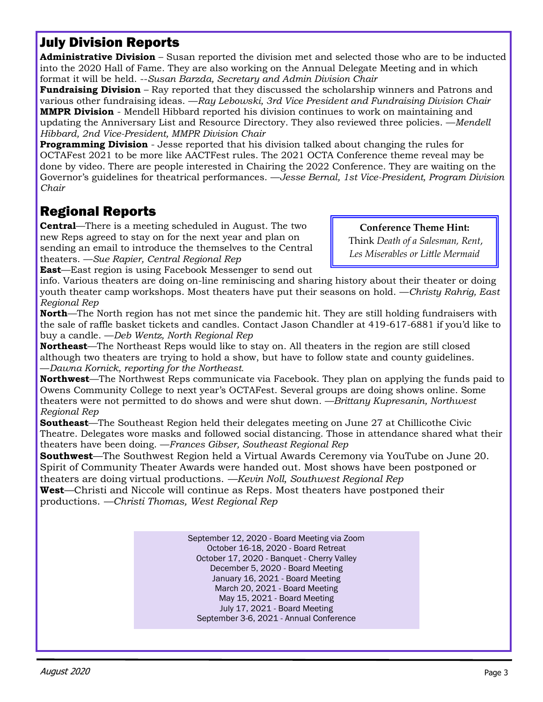# July Division Reports

**Administrative Division** – Susan reported the division met and selected those who are to be inducted into the 2020 Hall of Fame. They are also working on the Annual Delegate Meeting and in which format it will be held. --*Susan Barzda, Secretary and Admin Division Chair* 

**Fundraising Division** – Ray reported that they discussed the scholarship winners and Patrons and various other fundraising ideas. —*Ray Lebowski, 3rd Vice President and Fundraising Division Chair*  **MMPR Division** - Mendell Hibbard reported his division continues to work on maintaining and updating the Anniversary List and Resource Directory. They also reviewed three policies. —*Mendell Hibbard, 2nd Vice-President, MMPR Division Chair*

**Programming Division** - Jesse reported that his division talked about changing the rules for OCTAFest 2021 to be more like AACTFest rules. The 2021 OCTA Conference theme reveal may be done by video. There are people interested in Chairing the 2022 Conference. They are waiting on the Governor's guidelines for theatrical performances. —*Jesse Bernal, 1st Vice-President, Program Division Chair* 

# Regional Reports

**Central**—There is a meeting scheduled in August. The two new Reps agreed to stay on for the next year and plan on sending an email to introduce the themselves to the Central theaters. —*Sue Rapier, Central Regional Rep*

**Conference Theme Hint:**

Think *Death of a Salesman, Rent*, *Les Miserables or Little Mermaid*

**East**—East region is using Facebook Messenger to send out info. Various theaters are doing on-line reminiscing and sharing history about their theater or doing youth theater camp workshops. Most theaters have put their seasons on hold. —*Christy Rahrig, East Regional Rep*

**North**—The North region has not met since the pandemic hit. They are still holding fundraisers with the sale of raffle basket tickets and candles. Contact Jason Chandler at 419-617-6881 if you'd like to buy a candle. —*Deb Wentz, North Regional Rep*

**Northeast**—The Northeast Reps would like to stay on. All theaters in the region are still closed although two theaters are trying to hold a show, but have to follow state and county guidelines. —*Dawna Kornick, reporting for the Northeast.*

**Northwest**—The Northwest Reps communicate via Facebook. They plan on applying the funds paid to Owens Community College to next year's OCTAFest. Several groups are doing shows online. Some theaters were not permitted to do shows and were shut down*. —Brittany Kupresanin, Northwest Regional Rep*

**Southeast**—The Southeast Region held their delegates meeting on June 27 at Chillicothe Civic Theatre. Delegates wore masks and followed social distancing. Those in attendance shared what their theaters have been doing. —*Frances Gibser, Southeast Regional Rep*

**Southwest**—The Southwest Region held a Virtual Awards Ceremony via YouTube on June 20. Spirit of Community Theater Awards were handed out. Most shows have been postponed or theaters are doing virtual productions. *—Kevin Noll, Southwest Regional Rep*

**West**—Christi and Niccole will continue as Reps. Most theaters have postponed their

productions. *—Christi Thomas, West Regional Rep*

September 12, 2020 - Board Meeting via Zoom October 16-18, 2020 - Board Retreat October 17, 2020 - Banquet - Cherry Valley December 5, 2020 - Board Meeting January 16, 2021 - Board Meeting March 20, 2021 - Board Meeting May 15, 2021 - Board Meeting July 17, 2021 - Board Meeting September 3-6, 2021 - Annual Conference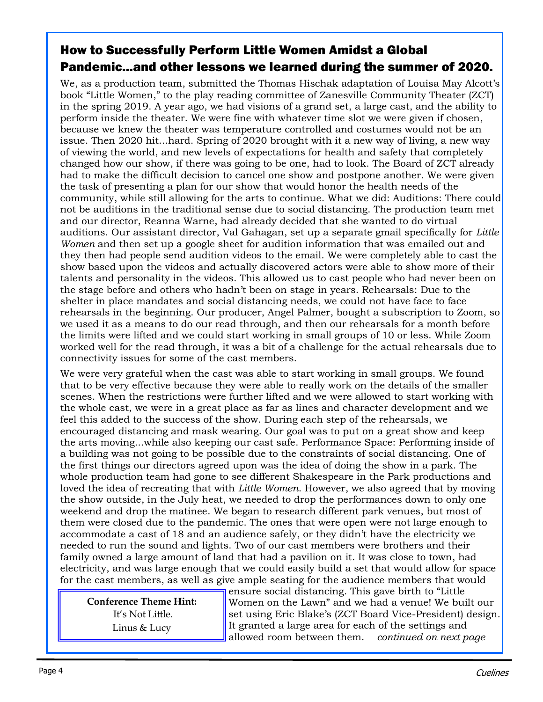# How to Successfully Perform Little Women Amidst a Global Pandemic...and other lessons we learned during the summer of 2020.

We, as a production team, submitted the Thomas Hischak adaptation of Louisa May Alcott's book "Little Women," to the play reading committee of Zanesville Community Theater (ZCT) in the spring 2019. A year ago, we had visions of a grand set, a large cast, and the ability to perform inside the theater. We were fine with whatever time slot we were given if chosen, because we knew the theater was temperature controlled and costumes would not be an issue. Then 2020 hit...hard. Spring of 2020 brought with it a new way of living, a new way of viewing the world, and new levels of expectations for health and safety that completely changed how our show, if there was going to be one, had to look. The Board of ZCT already had to make the difficult decision to cancel one show and postpone another. We were given the task of presenting a plan for our show that would honor the health needs of the community, while still allowing for the arts to continue. What we did: Auditions: There could not be auditions in the traditional sense due to social distancing. The production team met and our director, Reanna Warne, had already decided that she wanted to do virtual auditions. Our assistant director, Val Gahagan, set up a separate gmail specifically for *Little Women* and then set up a google sheet for audition information that was emailed out and they then had people send audition videos to the email. We were completely able to cast the show based upon the videos and actually discovered actors were able to show more of their talents and personality in the videos. This allowed us to cast people who had never been on the stage before and others who hadn't been on stage in years. Rehearsals: Due to the shelter in place mandates and social distancing needs, we could not have face to face rehearsals in the beginning. Our producer, Angel Palmer, bought a subscription to Zoom, so we used it as a means to do our read through, and then our rehearsals for a month before the limits were lifted and we could start working in small groups of 10 or less. While Zoom worked well for the read through, it was a bit of a challenge for the actual rehearsals due to connectivity issues for some of the cast members.

We were very grateful when the cast was able to start working in small groups. We found that to be very effective because they were able to really work on the details of the smaller scenes. When the restrictions were further lifted and we were allowed to start working with the whole cast, we were in a great place as far as lines and character development and we feel this added to the success of the show. During each step of the rehearsals, we encouraged distancing and mask wearing. Our goal was to put on a great show and keep the arts moving...while also keeping our cast safe. Performance Space: Performing inside of a building was not going to be possible due to the constraints of social distancing. One of the first things our directors agreed upon was the idea of doing the show in a park. The whole production team had gone to see different Shakespeare in the Park productions and loved the idea of recreating that with *Little Women*. However, we also agreed that by moving the show outside, in the July heat, we needed to drop the performances down to only one weekend and drop the matinee. We began to research different park venues, but most of them were closed due to the pandemic. The ones that were open were not large enough to accommodate a cast of 18 and an audience safely, or they didn't have the electricity we needed to run the sound and lights. Two of our cast members were brothers and their family owned a large amount of land that had a pavilion on it. It was close to town, had electricity, and was large enough that we could easily build a set that would allow for space for the cast members, as well as give ample seating for the audience members that would

**Conference Theme Hint:** It's Not Little. Linus & Lucy

ensure social distancing. This gave birth to "Little Women on the Lawn" and we had a venue! We built our set using Eric Blake's (ZCT Board Vice-President) design. It granted a large area for each of the settings and allowed room between them. *continued on next page*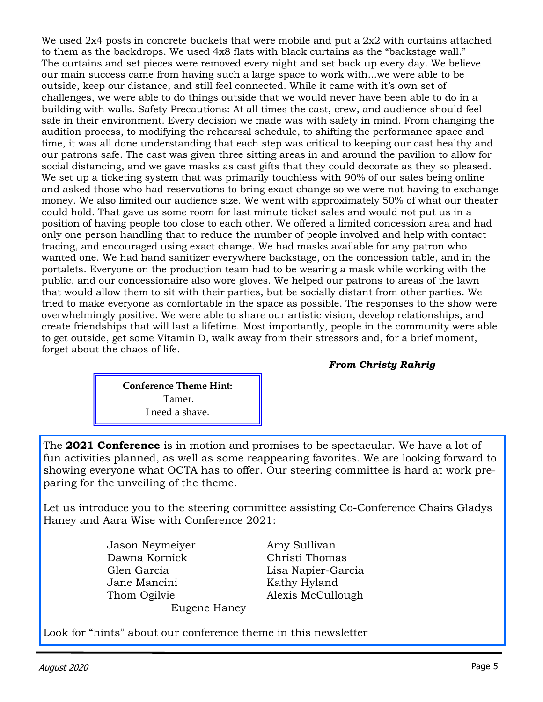We used  $2x4$  posts in concrete buckets that were mobile and put a  $2x2$  with curtains attached to them as the backdrops. We used 4x8 flats with black curtains as the "backstage wall." The curtains and set pieces were removed every night and set back up every day. We believe our main success came from having such a large space to work with...we were able to be outside, keep our distance, and still feel connected. While it came with it's own set of challenges, we were able to do things outside that we would never have been able to do in a building with walls. Safety Precautions: At all times the cast, crew, and audience should feel safe in their environment. Every decision we made was with safety in mind. From changing the audition process, to modifying the rehearsal schedule, to shifting the performance space and time, it was all done understanding that each step was critical to keeping our cast healthy and our patrons safe. The cast was given three sitting areas in and around the pavilion to allow for social distancing, and we gave masks as cast gifts that they could decorate as they so pleased. We set up a ticketing system that was primarily touchless with 90% of our sales being online and asked those who had reservations to bring exact change so we were not having to exchange money. We also limited our audience size. We went with approximately 50% of what our theater could hold. That gave us some room for last minute ticket sales and would not put us in a position of having people too close to each other. We offered a limited concession area and had only one person handling that to reduce the number of people involved and help with contact tracing, and encouraged using exact change. We had masks available for any patron who wanted one. We had hand sanitizer everywhere backstage, on the concession table, and in the portalets. Everyone on the production team had to be wearing a mask while working with the public, and our concessionaire also wore gloves. We helped our patrons to areas of the lawn that would allow them to sit with their parties, but be socially distant from other parties. We tried to make everyone as comfortable in the space as possible. The responses to the show were overwhelmingly positive. We were able to share our artistic vision, develop relationships, and create friendships that will last a lifetime. Most importantly, people in the community were able to get outside, get some Vitamin D, walk away from their stressors and, for a brief moment, forget about the chaos of life.

### *From Christy Rahrig*



The **2021 Conference** is in motion and promises to be spectacular. We have a lot of fun activities planned, as well as some reappearing favorites. We are looking forward to showing everyone what OCTA has to offer. Our steering committee is hard at work preparing for the unveiling of the theme.

Let us introduce you to the steering committee assisting Co-Conference Chairs Gladys Haney and Aara Wise with Conference 2021:

> Jason Neymeiyer Amy Sullivan Dawna Kornick Christi Thomas Glen Garcia Lisa Napier-Garcia Jane Mancini Kathy Hyland Thom Ogilvie Alexis McCullough Eugene Haney

Look for "hints" about our conference theme in this newsletter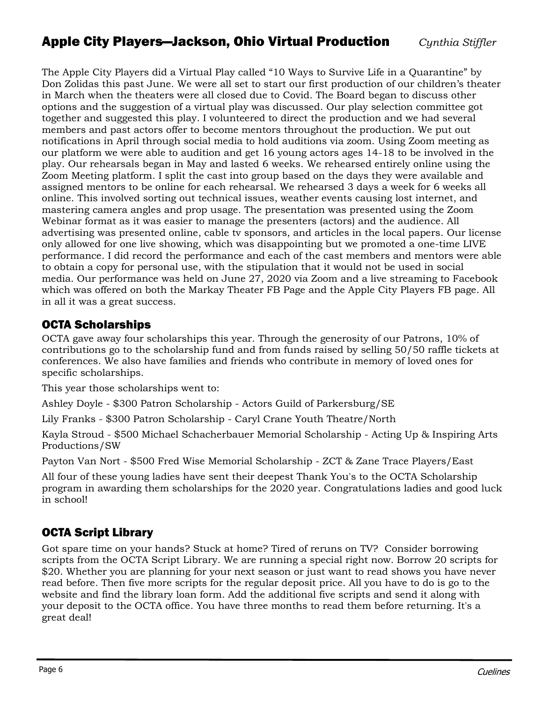# Apple City Players—Jackson, Ohio Virtual Production *Cynthia Stiffler*

The Apple City Players did a Virtual Play called "10 Ways to Survive Life in a Quarantine" by Don Zolidas this past June. We were all set to start our first production of our children's theater in March when the theaters were all closed due to Covid. The Board began to discuss other options and the suggestion of a virtual play was discussed. Our play selection committee got together and suggested this play. I volunteered to direct the production and we had several members and past actors offer to become mentors throughout the production. We put out notifications in April through social media to hold auditions via zoom. Using Zoom meeting as our platform we were able to audition and get 16 young actors ages 14-18 to be involved in the play. Our rehearsals began in May and lasted 6 weeks. We rehearsed entirely online using the Zoom Meeting platform. I split the cast into group based on the days they were available and assigned mentors to be online for each rehearsal. We rehearsed 3 days a week for 6 weeks all online. This involved sorting out technical issues, weather events causing lost internet, and mastering camera angles and prop usage. The presentation was presented using the Zoom Webinar format as it was easier to manage the presenters (actors) and the audience. All advertising was presented online, cable tv sponsors, and articles in the local papers. Our license only allowed for one live showing, which was disappointing but we promoted a one-time LIVE performance. I did record the performance and each of the cast members and mentors were able to obtain a copy for personal use, with the stipulation that it would not be used in social media. Our performance was held on June 27, 2020 via Zoom and a live streaming to Facebook which was offered on both the Markay Theater FB Page and the Apple City Players FB page. All in all it was a great success.

### OCTA Scholarships

OCTA gave away four scholarships this year. Through the generosity of our Patrons, 10% of contributions go to the scholarship fund and from funds raised by selling 50/50 raffle tickets at conferences. We also have families and friends who contribute in memory of loved ones for specific scholarships.

This year those scholarships went to:

Ashley Doyle - \$300 Patron Scholarship - Actors Guild of Parkersburg/SE

Lily Franks - \$300 Patron Scholarship - Caryl Crane Youth Theatre/North

Kayla Stroud - \$500 Michael Schacherbauer Memorial Scholarship - Acting Up & Inspiring Arts Productions/SW

Payton Van Nort - \$500 Fred Wise Memorial Scholarship - ZCT & Zane Trace Players/East

All four of these young ladies have sent their deepest Thank You's to the OCTA Scholarship program in awarding them scholarships for the 2020 year. Congratulations ladies and good luck in school!

### OCTA Script Library

Got spare time on your hands? Stuck at home? Tired of reruns on TV? Consider borrowing scripts from the OCTA Script Library. We are running a special right now. Borrow 20 scripts for \$20. Whether you are planning for your next season or just want to read shows you have never read before. Then five more scripts for the regular deposit price. All you have to do is go to the website and find the library loan form. Add the additional five scripts and send it along with your deposit to the OCTA office. You have three months to read them before returning. It's a great deal!